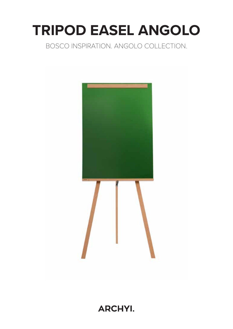# **TRIPOD EASEL ANGOLO**

### BOSCO INSPIRATION. ANGOLO COLLECTION.



**ARCHYI.**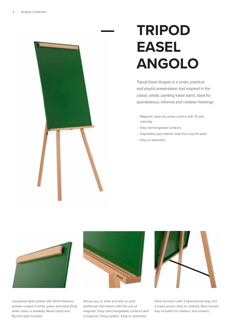## **TRIPOD EASEL ANGOLO**

Tripod Easel Angolo is a smart, practical and playful presentation tool inspired in the classic artistic painting easel stand. Ideal for spontaneous, informal and creative meetings.

- Magnetic steel dry erase surface with 10 year warranty
- Easy exchangeable surfaces
- Adjustable pad retainer both Euro and A1 pads
- Easy to assemble



Lacquered steel surface with 15mm thikness, powder-coated in white, green and black (Only white colour is writable). Wood clamp and flipchart pad included.



Allows you to write and also to post additional information with the use of magnets. Easy interchangeable surfaces with a magnetic fixing system. Esay to assemble.



Solid structure with 3 beechwood legs and a black woven strip for stability. Beechwood tray included for markers and erasers.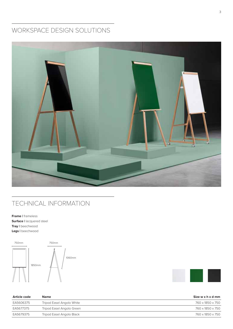### WORKSPACE DESIGN SOLUTIONS



#### TECHNICAL INFORMATION

**Frame |** frameless **Surface |** lacquered steel **Tray |** beechwood **Legs |** beechwood





| Article code | <b>Name</b>               | Size w x h x d mm |
|--------------|---------------------------|-------------------|
| EA5606375    | Tripod Easel Angolo White | 760 x 1850 x 750  |
| EA5677375    | Tripod Easel Angolo Green | 760 x 1850 x 750  |
| EA5679375    | Tripod Easel Angolo Black | 760 x 1850 x 750  |
|              |                           |                   |